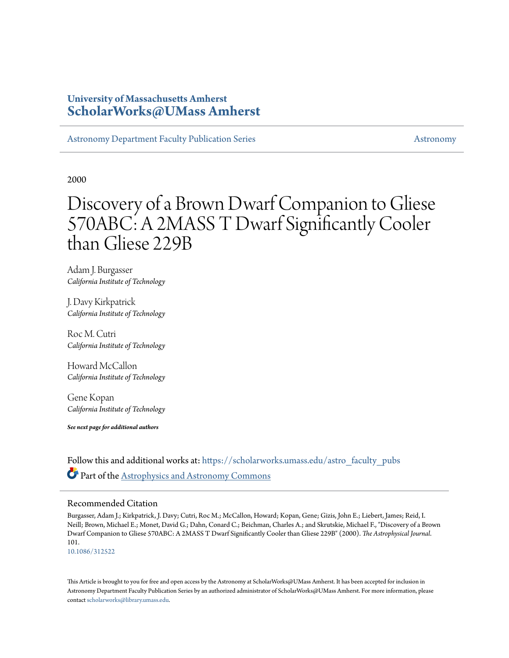## **University of Massachusetts Amherst [ScholarWorks@UMass Amherst](https://scholarworks.umass.edu?utm_source=scholarworks.umass.edu%2Fastro_faculty_pubs%2F101&utm_medium=PDF&utm_campaign=PDFCoverPages)**

[Astronomy Department Faculty Publication Series](https://scholarworks.umass.edu/astro_faculty_pubs?utm_source=scholarworks.umass.edu%2Fastro_faculty_pubs%2F101&utm_medium=PDF&utm_campaign=PDFCoverPages) [Astronomy](https://scholarworks.umass.edu/astro?utm_source=scholarworks.umass.edu%2Fastro_faculty_pubs%2F101&utm_medium=PDF&utm_campaign=PDFCoverPages) Astronomy

2000

# Discovery of a Brown Dwarf Companion to Gliese 570ABC: A 2MASS T Dwarf Significantly Cooler than Gliese 229B

Adam J. Burgasser *California Institute of Technology*

J. Davy Kirkpatrick *California Institute of Technology*

Roc M. Cutri *California Institute of Technology*

Howard McCallon *California Institute of Technology*

Gene Kopan *California Institute of Technology*

*See next page for additional authors*

Follow this and additional works at: [https://scholarworks.umass.edu/astro\\_faculty\\_pubs](https://scholarworks.umass.edu/astro_faculty_pubs?utm_source=scholarworks.umass.edu%2Fastro_faculty_pubs%2F101&utm_medium=PDF&utm_campaign=PDFCoverPages) Part of the [Astrophysics and Astronomy Commons](http://network.bepress.com/hgg/discipline/123?utm_source=scholarworks.umass.edu%2Fastro_faculty_pubs%2F101&utm_medium=PDF&utm_campaign=PDFCoverPages)

#### Recommended Citation

Burgasser, Adam J.; Kirkpatrick, J. Davy; Cutri, Roc M.; McCallon, Howard; Kopan, Gene; Gizis, John E.; Liebert, James; Reid, I. Neill; Brown, Michael E.; Monet, David G.; Dahn, Conard C.; Beichman, Charles A.; and Skrutskie, Michael F., "Discovery of a Brown Dwarf Companion to Gliese 570ABC: A 2MASS T Dwarf Significantly Cooler than Gliese 229B" (2000). *The Astrophysical Journal*. 101.

<10.1086/312522>

This Article is brought to you for free and open access by the Astronomy at ScholarWorks@UMass Amherst. It has been accepted for inclusion in Astronomy Department Faculty Publication Series by an authorized administrator of ScholarWorks@UMass Amherst. For more information, please contact [scholarworks@library.umass.edu](mailto:scholarworks@library.umass.edu).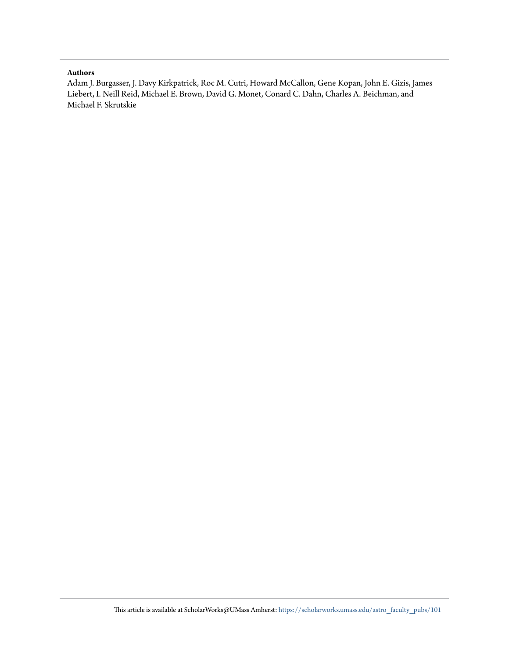#### **Authors**

Adam J. Burgasser, J. Davy Kirkpatrick, Roc M. Cutri, Howard McCallon, Gene Kopan, John E. Gizis, James Liebert, I. Neill Reid, Michael E. Brown, David G. Monet, Conard C. Dahn, Charles A. Beichman, and Michael F. Skrutskie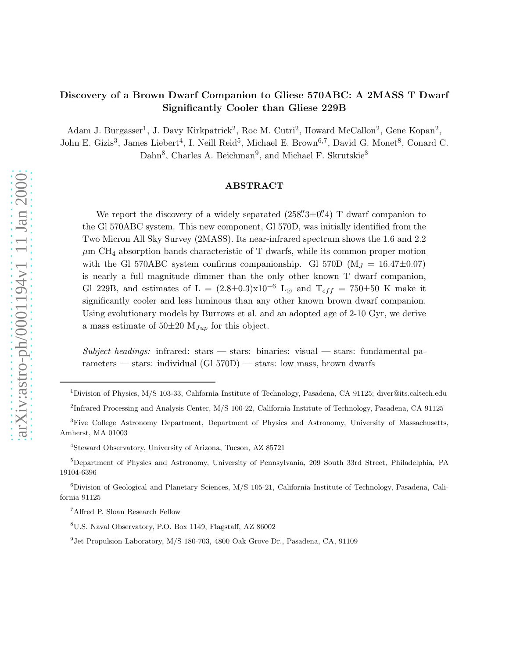### Discovery of a Brown Dwarf Companion to Gliese 570ABC: A 2MASS T Dwarf Significantly Cooler than Gliese 229B

Adam J. Burgasser<sup>1</sup>, J. Davy Kirkpatrick<sup>2</sup>, Roc M. Cutri<sup>2</sup>, Howard McCallon<sup>2</sup>, Gene Kopan<sup>2</sup>, John E. Gizis<sup>3</sup>, James Liebert<sup>4</sup>, I. Neill Reid<sup>5</sup>, Michael E. Brown<sup>6,7</sup>, David G. Monet<sup>8</sup>, Conard C. Dahn<sup>8</sup>, Charles A. Beichman<sup>9</sup>, and Michael F. Skrutskie<sup>3</sup>

#### ABSTRACT

We report the discovery of a widely separated  $(258\overset{''}{.}3\pm0\overset{''}{.}4)$  T dwarf companion to the Gl 570ABC system. This new component, Gl 570D, was initially identified from the Two Micron All Sky Survey (2MASS). Its near-infrared spectrum shows the 1.6 and 2.2  $\mu$ m CH<sub>4</sub> absorption bands characteristic of T dwarfs, while its common proper motion with the Gl 570ABC system confirms companionship. Gl 570D  $(M_J = 16.47 \pm 0.07)$ is nearly a full magnitude dimmer than the only other known T dwarf companion, Gl 229B, and estimates of L =  $(2.8\pm0.3)\times10^{-6}$  L<sub>⊙</sub> and T<sub>eff</sub> = 750 $\pm$ 50 K make it significantly cooler and less luminous than any other known brown dwarf companion. Using evolutionary models by Burrows et al. and an adopted age of 2-10 Gyr, we derive a mass estimate of  $50\pm20$   $M_{Jup}$  for this object.

Subject headings: infrared: stars  $-$  stars: binaries: visual  $-$  stars: fundamental parameters — stars: individual  $(G1 570D)$  — stars: low mass, brown dwarfs

<sup>1</sup>Division of Physics, M/S 103-33, California Institute of Technology, Pasadena, CA 91125; diver@its.caltech.edu

<sup>&</sup>lt;sup>2</sup>Infrared Processing and Analysis Center, M/S 100-22, California Institute of Technology, Pasadena, CA 91125

<sup>&</sup>lt;sup>3</sup>Five College Astronomy Department, Department of Physics and Astronomy, University of Massachusetts, Amherst, MA 01003

<sup>4</sup>Steward Observatory, University of Arizona, Tucson, AZ 85721

<sup>5</sup>Department of Physics and Astronomy, University of Pennsylvania, 209 South 33rd Street, Philadelphia, PA 19104-6396

 $6$ Division of Geological and Planetary Sciences, M/S 105-21, California Institute of Technology, Pasadena, California 91125

<sup>7</sup>Alfred P. Sloan Research Fellow

<sup>8</sup>U.S. Naval Observatory, P.O. Box 1149, Flagstaff, AZ 86002

<sup>&</sup>lt;sup>9</sup> Jet Propulsion Laboratory, M/S 180-703, 4800 Oak Grove Dr., Pasadena, CA, 91109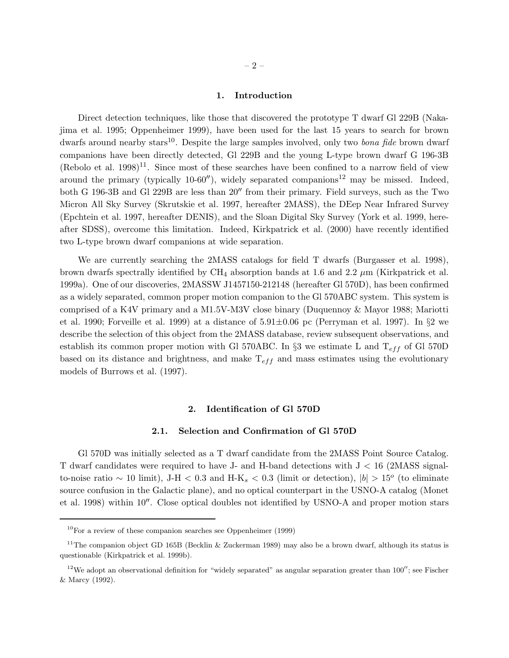#### 1. Introduction

Direct detection techniques, like those that discovered the prototype T dwarf Gl 229B (Nakajima et al. 1995; Oppenheimer 1999), have been used for the last 15 years to search for brown dwarfs around nearby stars<sup>10</sup>. Despite the large samples involved, only two *bona fide* brown dwarf companions have been directly detected, Gl 229B and the young L-type brown dwarf G 196-3B  $(Rebolo et al. 1998)<sup>11</sup>$ . Since most of these searches have been confined to a narrow field of view around the primary (typically 10-60 $'$ ), widely separated companions<sup>12</sup> may be missed. Indeed, both G 196-3B and Gl 229B are less than 20′′ from their primary. Field surveys, such as the Two Micron All Sky Survey (Skrutskie et al. 1997, hereafter 2MASS), the DEep Near Infrared Survey (Epchtein et al. 1997, hereafter DENIS), and the Sloan Digital Sky Survey (York et al. 1999, hereafter SDSS), overcome this limitation. Indeed, Kirkpatrick et al. (2000) have recently identified two L-type brown dwarf companions at wide separation.

We are currently searching the 2MASS catalogs for field T dwarfs (Burgasser et al. 1998), brown dwarfs spectrally identified by  $\text{CH}_4$  absorption bands at 1.6 and 2.2  $\mu$ m (Kirkpatrick et al. 1999a). One of our discoveries, 2MASSW J1457150-212148 (hereafter Gl 570D), has been confirmed as a widely separated, common proper motion companion to the Gl 570ABC system. This system is comprised of a K4V primary and a M1.5V-M3V close binary (Duquennoy & Mayor 1988; Mariotti et al. 1990; Forveille et al. 1999) at a distance of  $5.91\pm0.06$  pc (Perryman et al. 1997). In §2 we describe the selection of this object from the 2MASS database, review subsequent observations, and establish its common proper motion with Gl 570ABC. In §3 we estimate L and  $T_{eff}$  of Gl 570D based on its distance and brightness, and make  $T_{eff}$  and mass estimates using the evolutionary models of Burrows et al. (1997).

#### 2. Identification of Gl 570D

#### 2.1. Selection and Confirmation of Gl 570D

Gl 570D was initially selected as a T dwarf candidate from the 2MASS Point Source Catalog. T dwarf candidates were required to have J- and H-band detections with J < 16 (2MASS signalto-noise ratio ~ 10 limit), J-H < 0.3 and H-K<sub>s</sub> < 0.3 (limit or detection),  $|b| > 15^{\circ}$  (to eliminate source confusion in the Galactic plane), and no optical counterpart in the USNO-A catalog (Monet et al. 1998) within 10′′. Close optical doubles not identified by USNO-A and proper motion stars

 $10$ For a review of these companion searches see Oppenheimer (1999)

<sup>&</sup>lt;sup>11</sup>The companion object GD 165B (Becklin & Zuckerman 1989) may also be a brown dwarf, although its status is questionable (Kirkpatrick et al. 1999b).

<sup>&</sup>lt;sup>12</sup>We adopt an observational definition for "widely separated" as angular separation greater than  $100''$ ; see Fischer & Marcy (1992).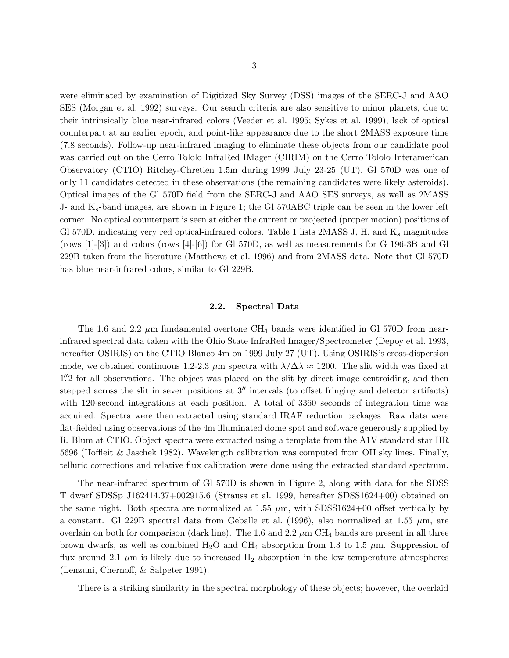were eliminated by examination of Digitized Sky Survey (DSS) images of the SERC-J and AAO SES (Morgan et al. 1992) surveys. Our search criteria are also sensitive to minor planets, due to their intrinsically blue near-infrared colors (Veeder et al. 1995; Sykes et al. 1999), lack of optical counterpart at an earlier epoch, and point-like appearance due to the short 2MASS exposure time (7.8 seconds). Follow-up near-infrared imaging to eliminate these objects from our candidate pool was carried out on the Cerro Tololo InfraRed IMager (CIRIM) on the Cerro Tololo Interamerican Observatory (CTIO) Ritchey-Chretien 1.5m during 1999 July 23-25 (UT). Gl 570D was one of only 11 candidates detected in these observations (the remaining candidates were likely asteroids). Optical images of the Gl 570D field from the SERC-J and AAO SES surveys, as well as 2MASS J- and  $K_s$ -band images, are shown in Figure 1; the Gl 570ABC triple can be seen in the lower left corner. No optical counterpart is seen at either the current or projected (proper motion) positions of Gl 570D, indicating very red optical-infrared colors. Table 1 lists 2MASS J, H, and  $K_s$  magnitudes (rows  $[1]-[3]$ ) and colors (rows  $[4]-[6]$ ) for Gl 570D, as well as measurements for G 196-3B and Gl 229B taken from the literature (Matthews et al. 1996) and from 2MASS data. Note that Gl 570D has blue near-infrared colors, similar to Gl 229B.

#### 2.2. Spectral Data

The 1.6 and 2.2  $\mu$ m fundamental overtone CH<sub>4</sub> bands were identified in Gl 570D from nearinfrared spectral data taken with the Ohio State InfraRed Imager/Spectrometer (Depoy et al. 1993, hereafter OSIRIS) on the CTIO Blanco 4m on 1999 July 27 (UT). Using OSIRIS's cross-dispersion mode, we obtained continuous 1.2-2.3  $\mu$ m spectra with  $\lambda/\Delta\lambda \approx 1200$ . The slit width was fixed at 1".2 for all observations. The object was placed on the slit by direct image centroiding, and then stepped across the slit in seven positions at 3′′ intervals (to offset fringing and detector artifacts) with 120-second integrations at each position. A total of 3360 seconds of integration time was acquired. Spectra were then extracted using standard IRAF reduction packages. Raw data were flat-fielded using observations of the 4m illuminated dome spot and software generously supplied by R. Blum at CTIO. Object spectra were extracted using a template from the A1V standard star HR 5696 (Hoffleit & Jaschek 1982). Wavelength calibration was computed from OH sky lines. Finally, telluric corrections and relative flux calibration were done using the extracted standard spectrum.

The near-infrared spectrum of Gl 570D is shown in Figure 2, along with data for the SDSS T dwarf SDSSp J162414.37+002915.6 (Strauss et al. 1999, hereafter SDSS1624+00) obtained on the same night. Both spectra are normalized at 1.55  $\mu$ m, with SDSS1624+00 offset vertically by a constant. Gl 229B spectral data from Geballe et al. (1996), also normalized at 1.55  $\mu$ m, are overlain on both for comparison (dark line). The 1.6 and 2.2  $\mu$ m CH<sub>4</sub> bands are present in all three brown dwarfs, as well as combined H<sub>2</sub>O and CH<sub>4</sub> absorption from 1.3 to 1.5  $\mu$ m. Suppression of flux around 2.1  $\mu$ m is likely due to increased  $H_2$  absorption in the low temperature atmospheres (Lenzuni, Chernoff, & Salpeter 1991).

There is a striking similarity in the spectral morphology of these objects; however, the overlaid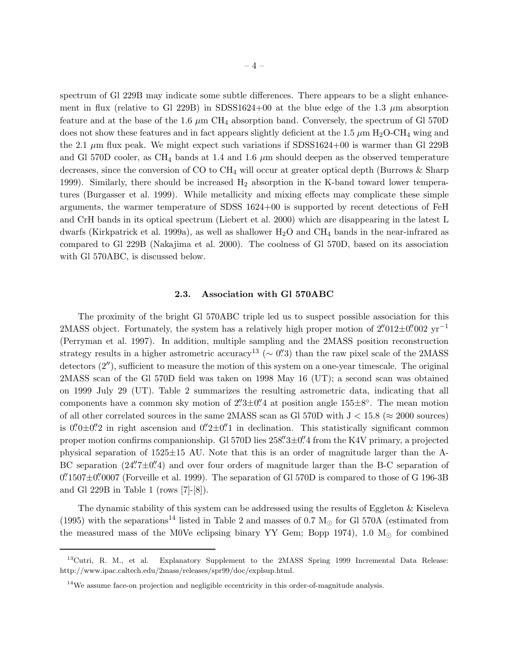spectrum of Gl 229B may indicate some subtle differences. There appears to be a slight enhancement in flux (relative to Gl 229B) in SDSS1624+00 at the blue edge of the 1.3  $\mu$ m absorption feature and at the base of the 1.6  $\mu$ m CH<sub>4</sub> absorption band. Conversely, the spectrum of Gl 570D does not show these features and in fact appears slightly deficient at the 1.5  $\mu$ m H<sub>2</sub>O-CH<sub>4</sub> wing and the 2.1  $\mu$ m flux peak. We might expect such variations if SDSS1624+00 is warmer than Gl 229B and Gl 570D cooler, as CH<sub>4</sub> bands at 1.4 and 1.6  $\mu$ m should deepen as the observed temperature decreases, since the conversion of CO to  $CH_4$  will occur at greater optical depth (Burrows  $\&$  Sharp 1999). Similarly, there should be increased  $H_2$  absorption in the K-band toward lower temperatures (Burgasser et al. 1999). While metallicity and mixing effects may complicate these simple arguments, the warmer temperature of SDSS 1624+00 is supported by recent detections of FeH and CrH bands in its optical spectrum (Liebert et al. 2000) which are disappearing in the latest L dwarfs (Kirkpatrick et al. 1999a), as well as shallower  $H_2O$  and  $CH_4$  bands in the near-infrared as compared to Gl 229B (Nakajima et al. 2000). The coolness of Gl 570D, based on its association with Gl 570ABC, is discussed below.

#### 2.3. Association with Gl 570ABC

The proximity of the bright Gl 570ABC triple led us to suspect possible association for this 2MASS object. Fortunately, the system has a relatively high proper motion of  $2''012\pm0''002$  yr<sup>-1</sup> (Perryman et al. 1997). In addition, multiple sampling and the 2MASS position reconstruction strategy results in a higher astrometric accuracy<sup>13</sup> ( $\sim$  0''.3) than the raw pixel scale of the 2MASS detectors (2′′), sufficient to measure the motion of this system on a one-year timescale. The original 2MASS scan of the Gl 570D field was taken on 1998 May 16 (UT); a second scan was obtained on 1999 July 29 (UT). Table 2 summarizes the resulting astrometric data, indicating that all components have a common sky motion of  $2\overset{'}{.}3\pm0\overset{''}{.}4$  at position angle  $155\pm8^\circ$ . The mean motion of all other correlated sources in the same 2MASS scan as Gl 570D with  $J < 15.8$  ( $\approx 2000$  sources) is  $0''0\pm0''2$  in right ascension and  $0''2\pm0''1$  in declination. This statistically significant common proper motion confirms companionship. Gl 570D lies  $258\overset{''}{.}3\pm0\overset{''}{.}4$  from the K4V primary, a projected physical separation of  $1525\pm15$  AU. Note that this is an order of magnitude larger than the A-BC separation  $(24\rlap.{''}7\pm0\rlap.{''}4)$  and over four orders of magnitude larger than the B-C separation of  $0.^{\prime\prime}$ 1507 $\pm$ 0. The separation of Gl 570D is compared to those of G 196-3B and Gl 229B in Table 1 (rows [7]-[8]).

The dynamic stability of this system can be addressed using the results of Eggleton & Kiseleva (1995) with the separations<sup>14</sup> listed in Table 2 and masses of 0.7  $M_{\odot}$  for Gl 570A (estimated from the measured mass of the M0Ve eclipsing binary YY Gem; Bopp 1974), 1.0  $M_{\odot}$  for combined

<sup>&</sup>lt;sup>13</sup>Cutri, R. M., et al. Explanatory Supplement to the 2MASS Spring 1999 Incremental Data Release: http://www.ipac.caltech.edu/2mass/releases/spr99/doc/explsup.html.

<sup>&</sup>lt;sup>14</sup>We assume face-on projection and negligible eccentricity in this order-of-magnitude analysis.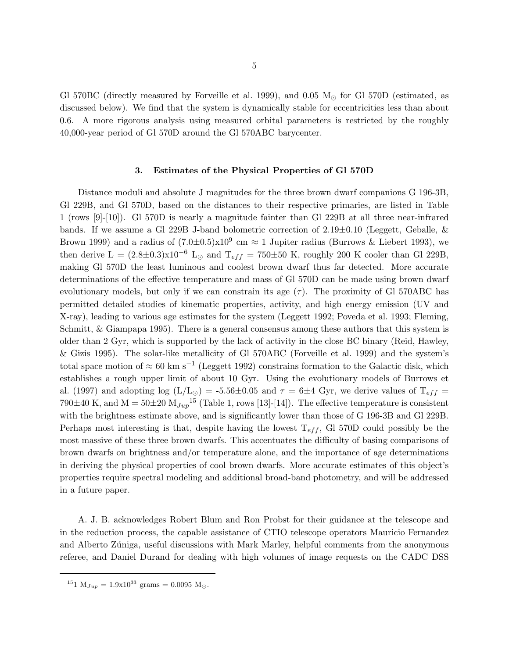Gl 570BC (directly measured by Forveille et al. 1999), and 0.05  $M_{\odot}$  for Gl 570D (estimated, as discussed below). We find that the system is dynamically stable for eccentricities less than about 0.6. A more rigorous analysis using measured orbital parameters is restricted by the roughly 40,000-year period of Gl 570D around the Gl 570ABC barycenter.

#### 3. Estimates of the Physical Properties of Gl 570D

Distance moduli and absolute J magnitudes for the three brown dwarf companions G 196-3B, Gl 229B, and Gl 570D, based on the distances to their respective primaries, are listed in Table 1 (rows [9]-[10]). Gl 570D is nearly a magnitude fainter than Gl 229B at all three near-infrared bands. If we assume a Gl 229B J-band bolometric correction of 2.19±0.10 (Leggett, Geballe, & Brown 1999) and a radius of  $(7.0\pm0.5)\times10^9$  cm  $\approx 1$  Jupiter radius (Burrows & Liebert 1993), we then derive L =  $(2.8\pm0.3)\times10^{-6}$  L<sub>☉</sub> and T<sub>eff</sub> = 750 $\pm$ 50 K, roughly 200 K cooler than Gl 229B, making Gl 570D the least luminous and coolest brown dwarf thus far detected. More accurate determinations of the effective temperature and mass of Gl 570D can be made using brown dwarf evolutionary models, but only if we can constrain its age  $(\tau)$ . The proximity of Gl 570ABC has permitted detailed studies of kinematic properties, activity, and high energy emission (UV and X-ray), leading to various age estimates for the system (Leggett 1992; Poveda et al. 1993; Fleming, Schmitt, & Giampapa 1995). There is a general consensus among these authors that this system is older than 2 Gyr, which is supported by the lack of activity in the close BC binary (Reid, Hawley, & Gizis 1995). The solar-like metallicity of Gl 570ABC (Forveille et al. 1999) and the system's total space motion of  $\approx 60 \text{ km s}^{-1}$  (Leggett 1992) constrains formation to the Galactic disk, which establishes a rough upper limit of about 10 Gyr. Using the evolutionary models of Burrows et al. (1997) and adopting log (L/L<sub>☉</sub>) = -5.56 $\pm$ 0.05 and  $\tau$  = 6 $\pm$ 4 Gyr, we derive values of T<sub>eff</sub> = 790 $\pm$ 40 K, and M = 50 $\pm$ 20 M<sub>Jup</sub><sup>15</sup> (Table 1, rows [13]-[14]). The effective temperature is consistent with the brightness estimate above, and is significantly lower than those of G 196-3B and Gl 229B. Perhaps most interesting is that, despite having the lowest  $T_{eff}$ , Gl 570D could possibly be the most massive of these three brown dwarfs. This accentuates the difficulty of basing comparisons of brown dwarfs on brightness and/or temperature alone, and the importance of age determinations in deriving the physical properties of cool brown dwarfs. More accurate estimates of this object's properties require spectral modeling and additional broad-band photometry, and will be addressed in a future paper.

A. J. B. acknowledges Robert Blum and Ron Probst for their guidance at the telescope and in the reduction process, the capable assistance of CTIO telescope operators Mauricio Fernandez and Alberto Zúniga, useful discussions with Mark Marley, helpful comments from the anonymous referee, and Daniel Durand for dealing with high volumes of image requests on the CADC DSS

 $^{15}1$   $\mathrm{M}_{Jup}$  =  $1.9\mathrm{x}10^{33}$  grams = 0.0095  $\mathrm{M}_\odot$  .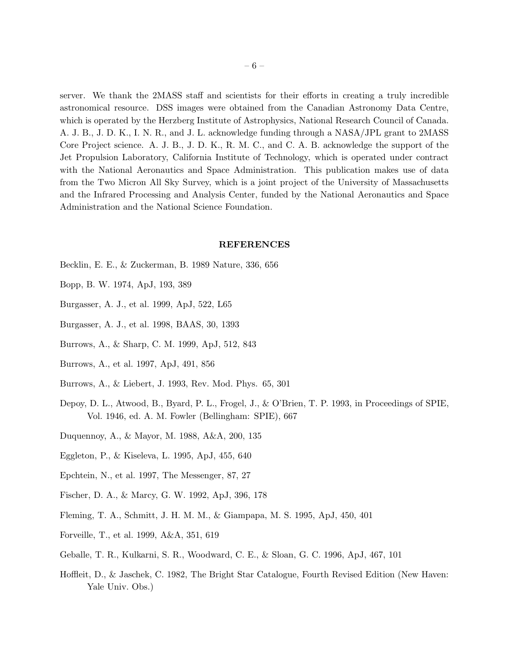server. We thank the 2MASS staff and scientists for their efforts in creating a truly incredible astronomical resource. DSS images were obtained from the Canadian Astronomy Data Centre, which is operated by the Herzberg Institute of Astrophysics, National Research Council of Canada. A. J. B., J. D. K., I. N. R., and J. L. acknowledge funding through a NASA/JPL grant to 2MASS Core Project science. A. J. B., J. D. K., R. M. C., and C. A. B. acknowledge the support of the Jet Propulsion Laboratory, California Institute of Technology, which is operated under contract with the National Aeronautics and Space Administration. This publication makes use of data from the Two Micron All Sky Survey, which is a joint project of the University of Massachusetts and the Infrared Processing and Analysis Center, funded by the National Aeronautics and Space Administration and the National Science Foundation.

#### REFERENCES

- Becklin, E. E., & Zuckerman, B. 1989 Nature, 336, 656
- Bopp, B. W. 1974, ApJ, 193, 389
- Burgasser, A. J., et al. 1999, ApJ, 522, L65
- Burgasser, A. J., et al. 1998, BAAS, 30, 1393
- Burrows, A., & Sharp, C. M. 1999, ApJ, 512, 843
- Burrows, A., et al. 1997, ApJ, 491, 856
- Burrows, A., & Liebert, J. 1993, Rev. Mod. Phys. 65, 301
- Depoy, D. L., Atwood, B., Byard, P. L., Frogel, J., & O'Brien, T. P. 1993, in Proceedings of SPIE, Vol. 1946, ed. A. M. Fowler (Bellingham: SPIE), 667
- Duquennoy, A., & Mayor, M. 1988, A&A, 200, 135
- Eggleton, P., & Kiseleva, L. 1995, ApJ, 455, 640
- Epchtein, N., et al. 1997, The Messenger, 87, 27
- Fischer, D. A., & Marcy, G. W. 1992, ApJ, 396, 178
- Fleming, T. A., Schmitt, J. H. M. M., & Giampapa, M. S. 1995, ApJ, 450, 401
- Forveille, T., et al. 1999, A&A, 351, 619
- Geballe, T. R., Kulkarni, S. R., Woodward, C. E., & Sloan, G. C. 1996, ApJ, 467, 101
- Hoffleit, D., & Jaschek, C. 1982, The Bright Star Catalogue, Fourth Revised Edition (New Haven: Yale Univ. Obs.)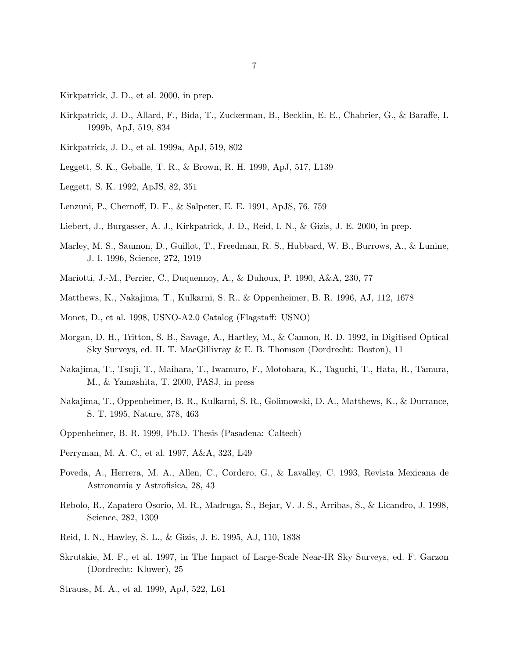- Kirkpatrick, J. D., et al. 2000, in prep.
- Kirkpatrick, J. D., Allard, F., Bida, T., Zuckerman, B., Becklin, E. E., Chabrier, G., & Baraffe, I. 1999b, ApJ, 519, 834
- Kirkpatrick, J. D., et al. 1999a, ApJ, 519, 802
- Leggett, S. K., Geballe, T. R., & Brown, R. H. 1999, ApJ, 517, L139
- Leggett, S. K. 1992, ApJS, 82, 351
- Lenzuni, P., Chernoff, D. F., & Salpeter, E. E. 1991, ApJS, 76, 759
- Liebert, J., Burgasser, A. J., Kirkpatrick, J. D., Reid, I. N., & Gizis, J. E. 2000, in prep.
- Marley, M. S., Saumon, D., Guillot, T., Freedman, R. S., Hubbard, W. B., Burrows, A., & Lunine, J. I. 1996, Science, 272, 1919
- Mariotti, J.-M., Perrier, C., Duquennoy, A., & Duhoux, P. 1990, A&A, 230, 77
- Matthews, K., Nakajima, T., Kulkarni, S. R., & Oppenheimer, B. R. 1996, AJ, 112, 1678
- Monet, D., et al. 1998, USNO-A2.0 Catalog (Flagstaff: USNO)
- Morgan, D. H., Tritton, S. B., Savage, A., Hartley, M., & Cannon, R. D. 1992, in Digitised Optical Sky Surveys, ed. H. T. MacGillivray & E. B. Thomson (Dordrecht: Boston), 11
- Nakajima, T., Tsuji, T., Maihara, T., Iwamuro, F., Motohara, K., Taguchi, T., Hata, R., Tamura, M., & Yamashita, T. 2000, PASJ, in press
- Nakajima, T., Oppenheimer, B. R., Kulkarni, S. R., Golimowski, D. A., Matthews, K., & Durrance, S. T. 1995, Nature, 378, 463
- Oppenheimer, B. R. 1999, Ph.D. Thesis (Pasadena: Caltech)
- Perryman, M. A. C., et al. 1997, A&A, 323, L49
- Poveda, A., Herrera, M. A., Allen, C., Cordero, G., & Lavalley, C. 1993, Revista Mexicana de Astronomia y Astrofisica, 28, 43
- Rebolo, R., Zapatero Osorio, M. R., Madruga, S., Bejar, V. J. S., Arribas, S., & Licandro, J. 1998, Science, 282, 1309
- Reid, I. N., Hawley, S. L., & Gizis, J. E. 1995, AJ, 110, 1838
- Skrutskie, M. F., et al. 1997, in The Impact of Large-Scale Near-IR Sky Surveys, ed. F. Garzon (Dordrecht: Kluwer), 25
- Strauss, M. A., et al. 1999, ApJ, 522, L61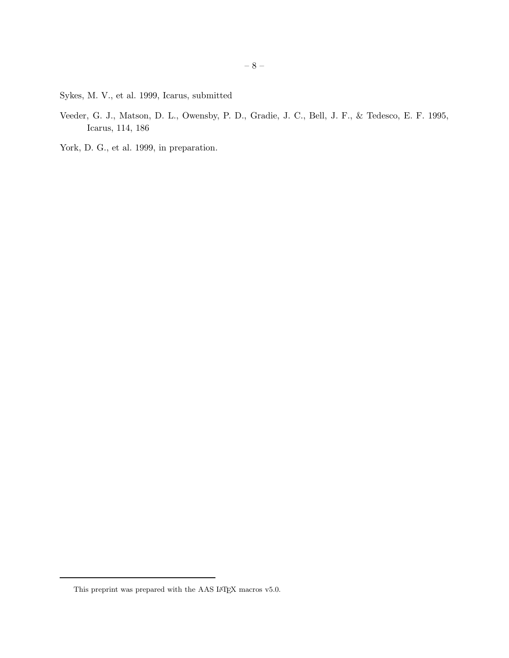Sykes, M. V., et al. 1999, Icarus, submitted

- Veeder, G. J., Matson, D. L., Owensby, P. D., Gradie, J. C., Bell, J. F., & Tedesco, E. F. 1995, Icarus, 114, 186
- York, D. G., et al. 1999, in preparation.

This preprint was prepared with the AAS IATEX macros v5.0.  $\,$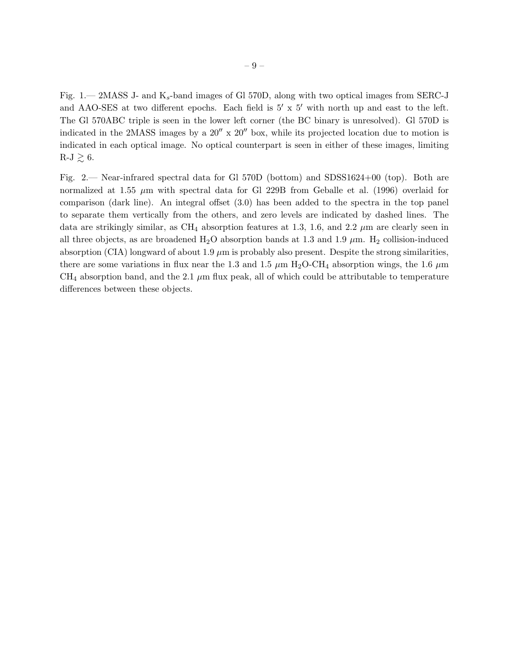Fig. 1.— 2MASS J- and  $K_s$ -band images of Gl 570D, along with two optical images from SERC-J and AAO-SES at two different epochs. Each field is 5′ x 5′ with north up and east to the left. The Gl 570ABC triple is seen in the lower left corner (the BC binary is unresolved). Gl 570D is indicated in the 2MASS images by a  $20''$  x  $20''$  box, while its projected location due to motion is indicated in each optical image. No optical counterpart is seen in either of these images, limiting  $R-J \gtrsim 6$ .

Fig. 2.— Near-infrared spectral data for Gl 570D (bottom) and SDSS1624+00 (top). Both are normalized at 1.55  $\mu$ m with spectral data for Gl 229B from Geballe et al. (1996) overlaid for comparison (dark line). An integral offset (3.0) has been added to the spectra in the top panel to separate them vertically from the others, and zero levels are indicated by dashed lines. The data are strikingly similar, as CH<sub>4</sub> absorption features at 1.3, 1.6, and 2.2  $\mu$ m are clearly seen in all three objects, as are broadened  $H_2O$  absorption bands at 1.3 and 1.9  $\mu$ m.  $H_2$  collision-induced absorption (CIA) longward of about 1.9  $\mu$ m is probably also present. Despite the strong similarities, there are some variations in flux near the 1.3 and 1.5  $\mu$ m H<sub>2</sub>O-CH<sub>4</sub> absorption wings, the 1.6  $\mu$ m CH<sub>4</sub> absorption band, and the 2.1  $\mu$ m flux peak, all of which could be attributable to temperature differences between these objects.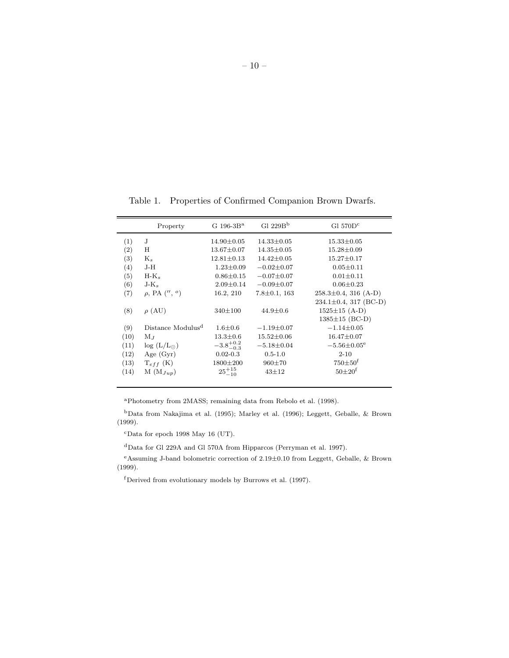Table 1. Properties of Confirmed Companion Brown Dwarfs.

|      | Property                      | G $196-3B^a$         | Gl $229Bb$         | Gl $570Dc$                   |
|------|-------------------------------|----------------------|--------------------|------------------------------|
| (1)  | J                             | $14.90 \pm 0.05$     | $14.33 \pm 0.05$   | $15.33 \pm 0.05$             |
| (2)  | Η                             | $13.67 \pm 0.07$     | $14.35 \pm 0.05$   | $15.28 \pm 0.09$             |
| (3)  | $K_s$                         | $12.81 \pm 0.13$     | $14.42 \pm 0.05$   | $15.27 \pm 0.17$             |
| (4)  | J-H                           | $1.23 \pm 0.09$      | $-0.02 \pm 0.07$   | $0.05 \pm 0.11$              |
| (5)  | $H-K_s$                       | $0.86 \pm 0.15$      | $-0.07 \pm 0.07$   | $0.01 \pm 0.11$              |
| (6)  | $J-K_s$                       | $2.09 \pm 0.14$      | $-0.09 \pm 0.07$   | $0.06 \pm 0.23$              |
| (7)  | $\rho$ , PA $($ ", $\circ$ )  | 16.2, 210            | $7.8 \pm 0.1, 163$ | $258.3 \pm 0.4$ , 316 (A-D)  |
|      |                               |                      |                    | $234.1 \pm 0.4$ , 317 (BC-D) |
| (8)  | $\rho$ (AU)                   | $340 \pm 100$        | $44.9 \pm 0.6$     | $1525 \pm 15$ (A-D)          |
|      |                               |                      |                    | $1385 \pm 15$ (BC-D)         |
| (9)  | Distance Modulus <sup>d</sup> | $1.6 \pm 0.6$        | $-1.19 \pm 0.07$   | $-1.14 \pm 0.05$             |
| (10) | $M_J$                         | $13.3 \pm 0.6$       | $15.52 \pm 0.06$   | $16.47 \pm 0.07$             |
| (11) | $log(L/L_{\odot})$            | $-3.8^{+0.2}_{-0.3}$ | $-5.18 \pm 0.04$   | $-5.56 \pm 0.05^{\circ}$     |
| (12) | Age $(Gyr)$                   | $0.02 - 0.3$         | $0.5 - 1.0$        | $2 - 10$                     |
| (13) | $T_{eff}$ (K)                 | $1800 \pm 200$       | $960 \pm 70$       | $750 \pm 50^{\circ}$         |
| (14) | $M(M_{Jup})$                  | $25^{+15}_{-10}$     | $43 + 12$          | $50\pm20^{f}$                |

<sup>a</sup>Photometry from 2MASS; remaining data from Rebolo et al. (1998).

 $^{\rm b}$ Data from Nakajima et al. (1995); Marley et al. (1996); Leggett, Geballe,  $\&$  Brown (1999).

 $c$ Data for epoch 1998 May 16 (UT).

<sup>d</sup>Data for Gl 229A and Gl 570A from Hipparcos (Perryman et al. 1997).

<sup>e</sup>Assuming J-band bolometric correction of 2.19±0.10 from Leggett, Geballe, & Brown (1999).

<sup>f</sup>Derived from evolutionary models by Burrows et al. (1997).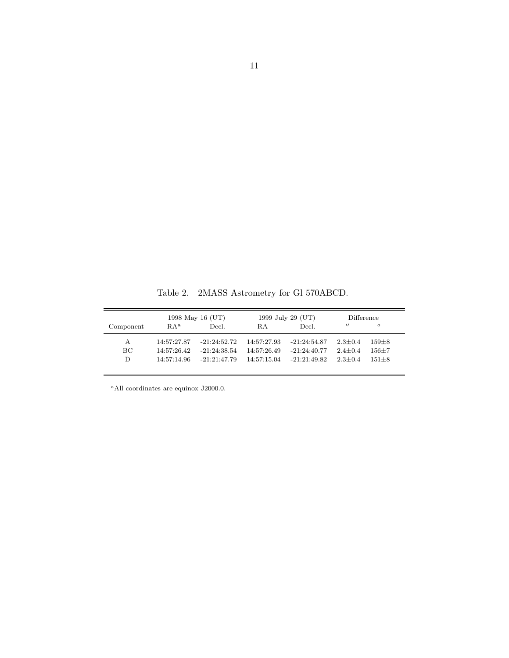|           | 1998 May 16 (UT) |                | 1999 July 29 (UT) |                | Difference        |                |
|-----------|------------------|----------------|-------------------|----------------|-------------------|----------------|
| Component | RA <sup>a</sup>  | Decl.          | R.A               | Decl.          | $^{\prime\prime}$ | $\overline{O}$ |
| A         | 14:57:27.87      | $-21:24:52.72$ | 14:57:27.93       | $-21:24:54.87$ | $2.3 + 0.4$       | $159 + 8$      |
| BС        | 14:57:26.42      | $-21:24:38.54$ | 14:57:26.49       | $-21:24:40.77$ | $2.4 + 0.4$       | $156 + 7$      |
| D         | 14:57:14.96      | $-21:21:47.79$ | 14:57:15.04       | $-21:21:49.82$ | $2.3 + 0.4$       | $151 + 8$      |

Table 2. 2MASS Astrometry for Gl 570ABCD.

<sup>a</sup>All coordinates are equinox J2000.0.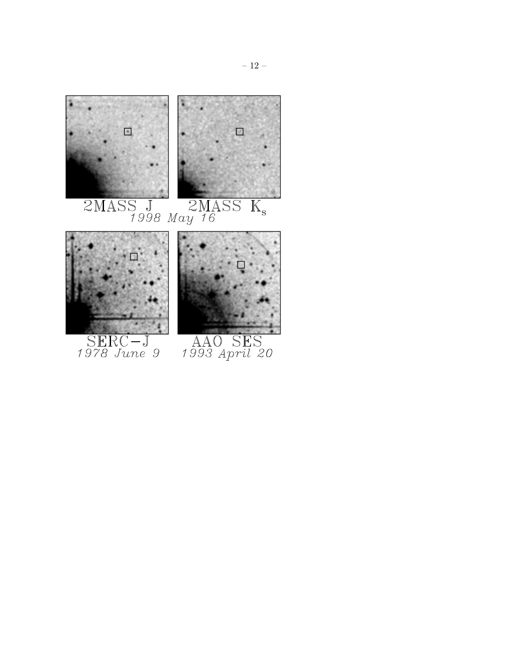